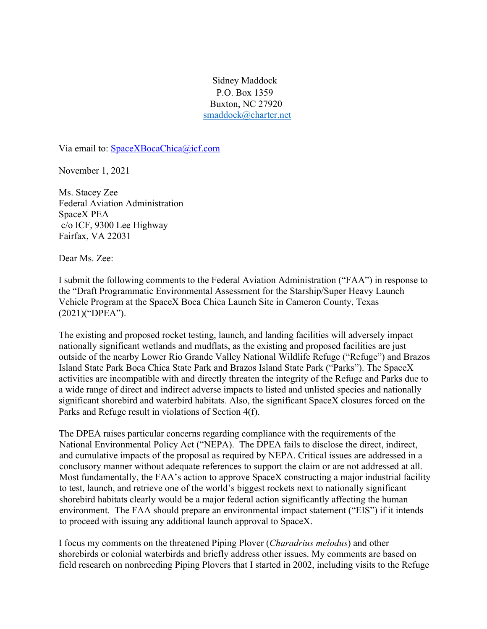Sidney Maddock P.O. Box 1359 Buxton, NC 27920 smaddock@charter.net

Via email to: SpaceXBocaChica@icf.com

November 1, 2021

Ms. Stacey Zee Federal Aviation Administration SpaceX PEA c/o ICF, 9300 Lee Highway Fairfax, VA 22031

Dear Ms. Zee:

I submit the following comments to the Federal Aviation Administration ("FAA") in response to the "Draft Programmatic Environmental Assessment for the Starship/Super Heavy Launch Vehicle Program at the SpaceX Boca Chica Launch Site in Cameron County, Texas (2021)("DPEA").

The existing and proposed rocket testing, launch, and landing facilities will adversely impact nationally significant wetlands and mudflats, as the existing and proposed facilities are just outside of the nearby Lower Rio Grande Valley National Wildlife Refuge ("Refuge") and Brazos Island State Park Boca Chica State Park and Brazos Island State Park ("Parks"). The SpaceX activities are incompatible with and directly threaten the integrity of the Refuge and Parks due to a wide range of direct and indirect adverse impacts to listed and unlisted species and nationally significant shorebird and waterbird habitats. Also, the significant SpaceX closures forced on the Parks and Refuge result in violations of Section 4(f).

The DPEA raises particular concerns regarding compliance with the requirements of the National Environmental Policy Act ("NEPA). The DPEA fails to disclose the direct, indirect, and cumulative impacts of the proposal as required by NEPA. Critical issues are addressed in a conclusory manner without adequate references to support the claim or are not addressed at all. Most fundamentally, the FAA's action to approve SpaceX constructing a major industrial facility to test, launch, and retrieve one of the world's biggest rockets next to nationally significant shorebird habitats clearly would be a major federal action significantly affecting the human environment. The FAA should prepare an environmental impact statement ("EIS") if it intends to proceed with issuing any additional launch approval to SpaceX.

I focus my comments on the threatened Piping Plover (*Charadrius melodus*) and other shorebirds or colonial waterbirds and briefly address other issues. My comments are based on field research on nonbreeding Piping Plovers that I started in 2002, including visits to the Refuge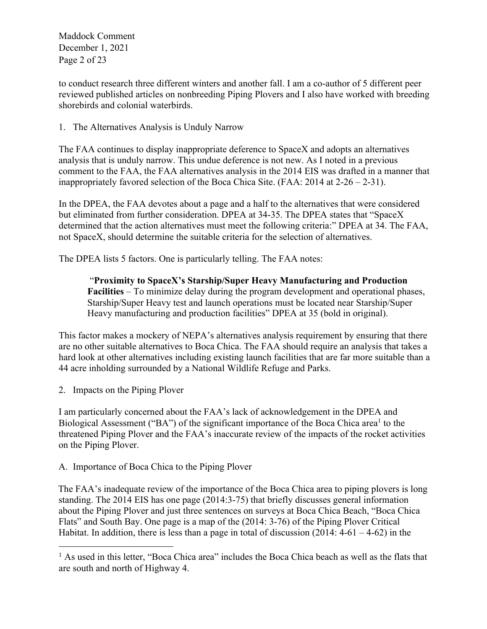Maddock Comment December 1, 2021 Page 2 of 23

to conduct research three different winters and another fall. I am a co-author of 5 different peer reviewed published articles on nonbreeding Piping Plovers and I also have worked with breeding shorebirds and colonial waterbirds.

1. The Alternatives Analysis is Unduly Narrow

The FAA continues to display inappropriate deference to SpaceX and adopts an alternatives analysis that is unduly narrow. This undue deference is not new. As I noted in a previous comment to the FAA, the FAA alternatives analysis in the 2014 EIS was drafted in a manner that inappropriately favored selection of the Boca Chica Site. (FAA: 2014 at 2-26 – 2-31).

In the DPEA, the FAA devotes about a page and a half to the alternatives that were considered but eliminated from further consideration. DPEA at 34-35. The DPEA states that "SpaceX determined that the action alternatives must meet the following criteria:" DPEA at 34. The FAA, not SpaceX, should determine the suitable criteria for the selection of alternatives.

The DPEA lists 5 factors. One is particularly telling. The FAA notes:

"**Proximity to SpaceX's Starship/Super Heavy Manufacturing and Production Facilities** – To minimize delay during the program development and operational phases, Starship/Super Heavy test and launch operations must be located near Starship/Super Heavy manufacturing and production facilities" DPEA at 35 (bold in original).

This factor makes a mockery of NEPA's alternatives analysis requirement by ensuring that there are no other suitable alternatives to Boca Chica. The FAA should require an analysis that takes a hard look at other alternatives including existing launch facilities that are far more suitable than a 44 acre inholding surrounded by a National Wildlife Refuge and Parks.

2. Impacts on the Piping Plover

I am particularly concerned about the FAA's lack of acknowledgement in the DPEA and Biological Assessment ("BA") of the significant importance of the Boca Chica area<sup>1</sup> to the threatened Piping Plover and the FAA's inaccurate review of the impacts of the rocket activities on the Piping Plover.

A. Importance of Boca Chica to the Piping Plover

The FAA's inadequate review of the importance of the Boca Chica area to piping plovers is long standing. The 2014 EIS has one page (2014:3-75) that briefly discusses general information about the Piping Plover and just three sentences on surveys at Boca Chica Beach, "Boca Chica Flats" and South Bay. One page is a map of the (2014: 3-76) of the Piping Plover Critical Habitat. In addition, there is less than a page in total of discussion  $(2014: 4-61 - 4-62)$  in the

<sup>&</sup>lt;sup>1</sup> As used in this letter, "Boca Chica area" includes the Boca Chica beach as well as the flats that are south and north of Highway 4.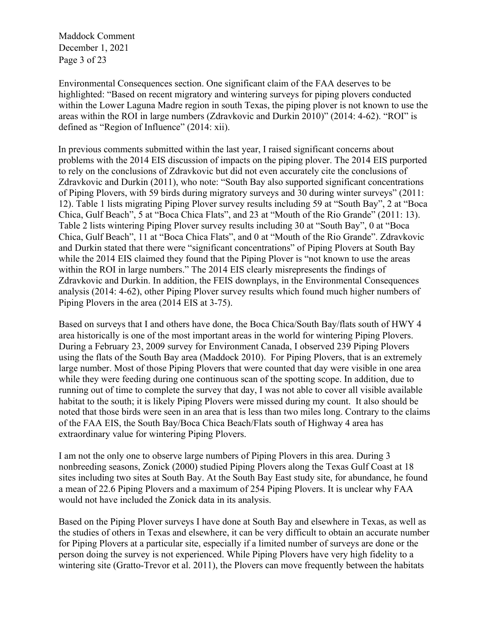Maddock Comment December 1, 2021 Page 3 of 23

Environmental Consequences section. One significant claim of the FAA deserves to be highlighted: "Based on recent migratory and wintering surveys for piping plovers conducted within the Lower Laguna Madre region in south Texas, the piping plover is not known to use the areas within the ROI in large numbers (Zdravkovic and Durkin 2010)" (2014: 4-62). "ROI" is defined as "Region of Influence" (2014: xii).

In previous comments submitted within the last year, I raised significant concerns about problems with the 2014 EIS discussion of impacts on the piping plover. The 2014 EIS purported to rely on the conclusions of Zdravkovic but did not even accurately cite the conclusions of Zdravkovic and Durkin (2011), who note: "South Bay also supported significant concentrations of Piping Plovers, with 59 birds during migratory surveys and 30 during winter surveys" (2011: 12). Table 1 lists migrating Piping Plover survey results including 59 at "South Bay", 2 at "Boca Chica, Gulf Beach", 5 at "Boca Chica Flats", and 23 at "Mouth of the Rio Grande" (2011: 13). Table 2 lists wintering Piping Plover survey results including 30 at "South Bay", 0 at "Boca Chica, Gulf Beach", 11 at "Boca Chica Flats", and 0 at "Mouth of the Rio Grande". Zdravkovic and Durkin stated that there were "significant concentrations" of Piping Plovers at South Bay while the 2014 EIS claimed they found that the Piping Plover is "not known to use the areas within the ROI in large numbers." The 2014 EIS clearly misrepresents the findings of Zdravkovic and Durkin. In addition, the FEIS downplays, in the Environmental Consequences analysis (2014: 4-62), other Piping Plover survey results which found much higher numbers of Piping Plovers in the area (2014 EIS at 3-75).

Based on surveys that I and others have done, the Boca Chica/South Bay/flats south of HWY 4 area historically is one of the most important areas in the world for wintering Piping Plovers. During a February 23, 2009 survey for Environment Canada, I observed 239 Piping Plovers using the flats of the South Bay area (Maddock 2010). For Piping Plovers, that is an extremely large number. Most of those Piping Plovers that were counted that day were visible in one area while they were feeding during one continuous scan of the spotting scope. In addition, due to running out of time to complete the survey that day, I was not able to cover all visible available habitat to the south; it is likely Piping Plovers were missed during my count. It also should be noted that those birds were seen in an area that is less than two miles long. Contrary to the claims of the FAA EIS, the South Bay/Boca Chica Beach/Flats south of Highway 4 area has extraordinary value for wintering Piping Plovers.

I am not the only one to observe large numbers of Piping Plovers in this area. During 3 nonbreeding seasons, Zonick (2000) studied Piping Plovers along the Texas Gulf Coast at 18 sites including two sites at South Bay. At the South Bay East study site, for abundance, he found a mean of 22.6 Piping Plovers and a maximum of 254 Piping Plovers. It is unclear why FAA would not have included the Zonick data in its analysis.

Based on the Piping Plover surveys I have done at South Bay and elsewhere in Texas, as well as the studies of others in Texas and elsewhere, it can be very difficult to obtain an accurate number for Piping Plovers at a particular site, especially if a limited number of surveys are done or the person doing the survey is not experienced. While Piping Plovers have very high fidelity to a wintering site (Gratto-Trevor et al. 2011), the Plovers can move frequently between the habitats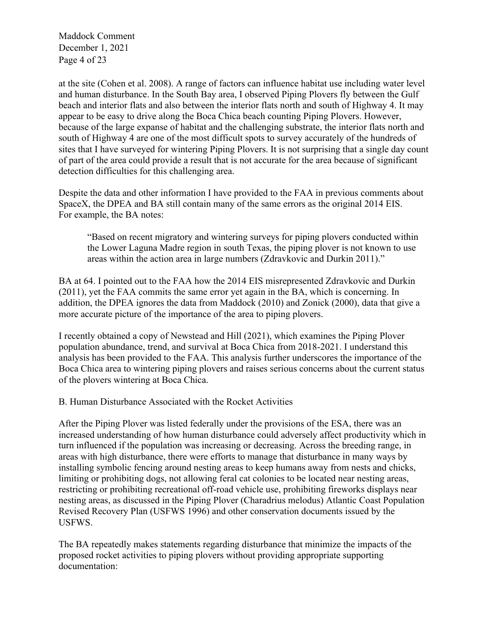Maddock Comment December 1, 2021 Page 4 of 23

at the site (Cohen et al. 2008). A range of factors can influence habitat use including water level and human disturbance. In the South Bay area, I observed Piping Plovers fly between the Gulf beach and interior flats and also between the interior flats north and south of Highway 4. It may appear to be easy to drive along the Boca Chica beach counting Piping Plovers. However, because of the large expanse of habitat and the challenging substrate, the interior flats north and south of Highway 4 are one of the most difficult spots to survey accurately of the hundreds of sites that I have surveyed for wintering Piping Plovers. It is not surprising that a single day count of part of the area could provide a result that is not accurate for the area because of significant detection difficulties for this challenging area.

Despite the data and other information I have provided to the FAA in previous comments about SpaceX, the DPEA and BA still contain many of the same errors as the original 2014 EIS. For example, the BA notes:

"Based on recent migratory and wintering surveys for piping plovers conducted within the Lower Laguna Madre region in south Texas, the piping plover is not known to use areas within the action area in large numbers (Zdravkovic and Durkin 2011)."

BA at 64. I pointed out to the FAA how the 2014 EIS misrepresented Zdravkovic and Durkin (2011), yet the FAA commits the same error yet again in the BA, which is concerning. In addition, the DPEA ignores the data from Maddock (2010) and Zonick (2000), data that give a more accurate picture of the importance of the area to piping plovers.

I recently obtained a copy of Newstead and Hill (2021), which examines the Piping Plover population abundance, trend, and survival at Boca Chica from 2018-2021. I understand this analysis has been provided to the FAA. This analysis further underscores the importance of the Boca Chica area to wintering piping plovers and raises serious concerns about the current status of the plovers wintering at Boca Chica.

B. Human Disturbance Associated with the Rocket Activities

After the Piping Plover was listed federally under the provisions of the ESA, there was an increased understanding of how human disturbance could adversely affect productivity which in turn influenced if the population was increasing or decreasing. Across the breeding range, in areas with high disturbance, there were efforts to manage that disturbance in many ways by installing symbolic fencing around nesting areas to keep humans away from nests and chicks, limiting or prohibiting dogs, not allowing feral cat colonies to be located near nesting areas, restricting or prohibiting recreational off-road vehicle use, prohibiting fireworks displays near nesting areas, as discussed in the Piping Plover (Charadrius melodus) Atlantic Coast Population Revised Recovery Plan (USFWS 1996) and other conservation documents issued by the USFWS.

The BA repeatedly makes statements regarding disturbance that minimize the impacts of the proposed rocket activities to piping plovers without providing appropriate supporting documentation: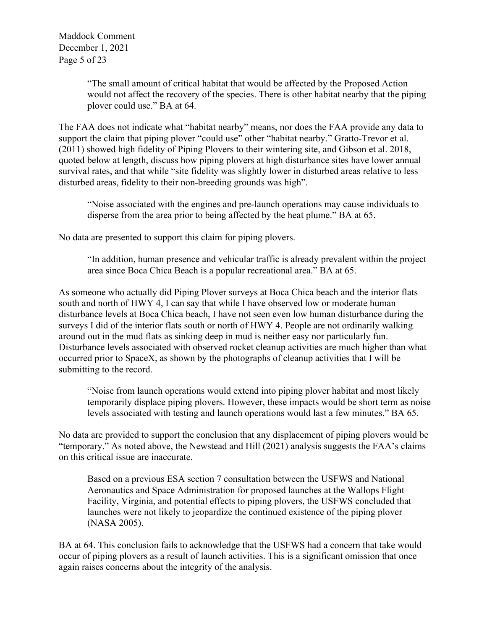"The small amount of critical habitat that would be affected by the Proposed Action would not affect the recovery of the species. There is other habitat nearby that the piping plover could use." BA at 64.

The FAA does not indicate what "habitat nearby" means, nor does the FAA provide any data to support the claim that piping plover "could use" other "habitat nearby." Gratto-Trevor et al. (2011) showed high fidelity of Piping Plovers to their wintering site, and Gibson et al. 2018, quoted below at length, discuss how piping plovers at high disturbance sites have lower annual survival rates, and that while "site fidelity was slightly lower in disturbed areas relative to less disturbed areas, fidelity to their non-breeding grounds was high".

"Noise associated with the engines and pre-launch operations may cause individuals to disperse from the area prior to being affected by the heat plume." BA at 65.

No data are presented to support this claim for piping plovers.

"In addition, human presence and vehicular traffic is already prevalent within the project area since Boca Chica Beach is a popular recreational area." BA at 65.

As someone who actually did Piping Plover surveys at Boca Chica beach and the interior flats south and north of HWY 4, I can say that while I have observed low or moderate human disturbance levels at Boca Chica beach, I have not seen even low human disturbance during the surveys I did of the interior flats south or north of HWY 4. People are not ordinarily walking around out in the mud flats as sinking deep in mud is neither easy nor particularly fun. Disturbance levels associated with observed rocket cleanup activities are much higher than what occurred prior to SpaceX, as shown by the photographs of cleanup activities that I will be submitting to the record.

"Noise from launch operations would extend into piping plover habitat and most likely temporarily displace piping plovers. However, these impacts would be short term as noise levels associated with testing and launch operations would last a few minutes." BA 65.

No data are provided to support the conclusion that any displacement of piping plovers would be "temporary." As noted above, the Newstead and Hill (2021) analysis suggests the FAA's claims on this critical issue are inaccurate.

Based on a previous ESA section 7 consultation between the USFWS and National Aeronautics and Space Administration for proposed launches at the Wallops Flight Facility, Virginia, and potential effects to piping plovers, the USFWS concluded that launches were not likely to jeopardize the continued existence of the piping plover (NASA 2005).

BA at 64. This conclusion fails to acknowledge that the USFWS had a concern that take would occur of piping plovers as a result of launch activities. This is a significant omission that once again raises concerns about the integrity of the analysis.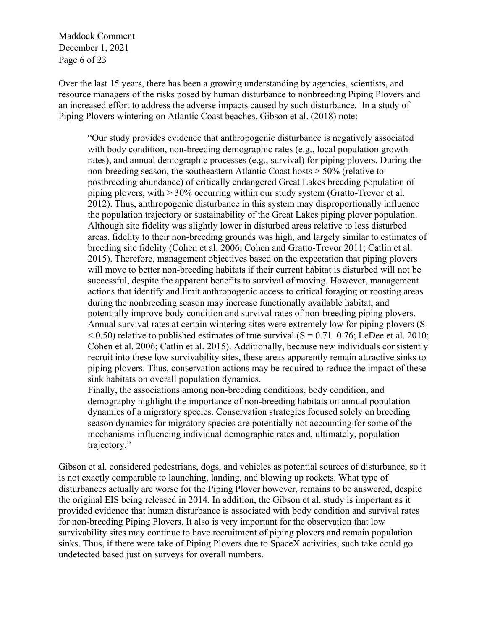Maddock Comment December 1, 2021 Page 6 of 23

Over the last 15 years, there has been a growing understanding by agencies, scientists, and resource managers of the risks posed by human disturbance to nonbreeding Piping Plovers and an increased effort to address the adverse impacts caused by such disturbance. In a study of Piping Plovers wintering on Atlantic Coast beaches, Gibson et al. (2018) note:

"Our study provides evidence that anthropogenic disturbance is negatively associated with body condition, non-breeding demographic rates (e.g., local population growth rates), and annual demographic processes (e.g., survival) for piping plovers. During the non-breeding season, the southeastern Atlantic Coast hosts > 50% (relative to postbreeding abundance) of critically endangered Great Lakes breeding population of piping plovers, with > 30% occurring within our study system (Gratto-Trevor et al. 2012). Thus, anthropogenic disturbance in this system may disproportionally influence the population trajectory or sustainability of the Great Lakes piping plover population. Although site fidelity was slightly lower in disturbed areas relative to less disturbed areas, fidelity to their non-breeding grounds was high, and largely similar to estimates of breeding site fidelity (Cohen et al. 2006; Cohen and Gratto-Trevor 2011; Catlin et al. 2015). Therefore, management objectives based on the expectation that piping plovers will move to better non-breeding habitats if their current habitat is disturbed will not be successful, despite the apparent benefits to survival of moving. However, management actions that identify and limit anthropogenic access to critical foraging or roosting areas during the nonbreeding season may increase functionally available habitat, and potentially improve body condition and survival rates of non-breeding piping plovers. Annual survival rates at certain wintering sites were extremely low for piping plovers (S  $< 0.50$ ) relative to published estimates of true survival (S = 0.71–0.76; LeDee et al. 2010; Cohen et al. 2006; Catlin et al. 2015). Additionally, because new individuals consistently recruit into these low survivability sites, these areas apparently remain attractive sinks to piping plovers. Thus, conservation actions may be required to reduce the impact of these sink habitats on overall population dynamics.

Finally, the associations among non-breeding conditions, body condition, and demography highlight the importance of non-breeding habitats on annual population dynamics of a migratory species. Conservation strategies focused solely on breeding season dynamics for migratory species are potentially not accounting for some of the mechanisms influencing individual demographic rates and, ultimately, population trajectory."

Gibson et al. considered pedestrians, dogs, and vehicles as potential sources of disturbance, so it is not exactly comparable to launching, landing, and blowing up rockets. What type of disturbances actually are worse for the Piping Plover however, remains to be answered, despite the original EIS being released in 2014. In addition, the Gibson et al. study is important as it provided evidence that human disturbance is associated with body condition and survival rates for non-breeding Piping Plovers. It also is very important for the observation that low survivability sites may continue to have recruitment of piping plovers and remain population sinks. Thus, if there were take of Piping Plovers due to SpaceX activities, such take could go undetected based just on surveys for overall numbers.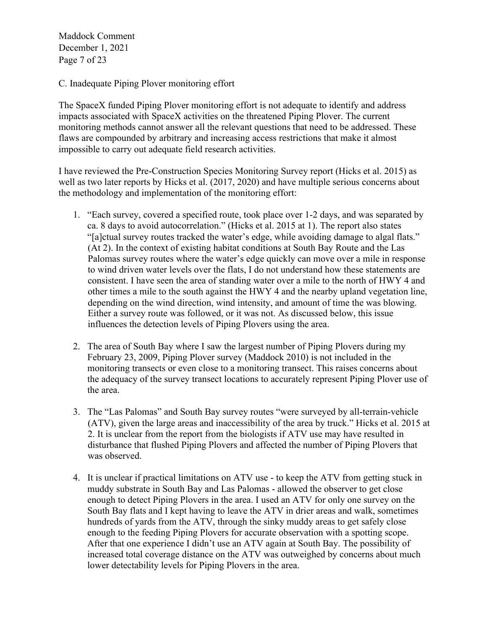Maddock Comment December 1, 2021 Page 7 of 23

C. Inadequate Piping Plover monitoring effort

The SpaceX funded Piping Plover monitoring effort is not adequate to identify and address impacts associated with SpaceX activities on the threatened Piping Plover. The current monitoring methods cannot answer all the relevant questions that need to be addressed. These flaws are compounded by arbitrary and increasing access restrictions that make it almost impossible to carry out adequate field research activities.

I have reviewed the Pre-Construction Species Monitoring Survey report (Hicks et al. 2015) as well as two later reports by Hicks et al. (2017, 2020) and have multiple serious concerns about the methodology and implementation of the monitoring effort:

- 1. "Each survey, covered a specified route, took place over 1-2 days, and was separated by ca. 8 days to avoid autocorrelation." (Hicks et al. 2015 at 1). The report also states "[a]ctual survey routes tracked the water's edge, while avoiding damage to algal flats." (At 2). In the context of existing habitat conditions at South Bay Route and the Las Palomas survey routes where the water's edge quickly can move over a mile in response to wind driven water levels over the flats, I do not understand how these statements are consistent. I have seen the area of standing water over a mile to the north of HWY 4 and other times a mile to the south against the HWY 4 and the nearby upland vegetation line, depending on the wind direction, wind intensity, and amount of time the was blowing. Either a survey route was followed, or it was not. As discussed below, this issue influences the detection levels of Piping Plovers using the area.
- 2. The area of South Bay where I saw the largest number of Piping Plovers during my February 23, 2009, Piping Plover survey (Maddock 2010) is not included in the monitoring transects or even close to a monitoring transect. This raises concerns about the adequacy of the survey transect locations to accurately represent Piping Plover use of the area.
- 3. The "Las Palomas" and South Bay survey routes "were surveyed by all-terrain-vehicle (ATV), given the large areas and inaccessibility of the area by truck." Hicks et al. 2015 at 2. It is unclear from the report from the biologists if ATV use may have resulted in disturbance that flushed Piping Plovers and affected the number of Piping Plovers that was observed.
- 4. It is unclear if practical limitations on ATV use to keep the ATV from getting stuck in muddy substrate in South Bay and Las Palomas - allowed the observer to get close enough to detect Piping Plovers in the area. I used an ATV for only one survey on the South Bay flats and I kept having to leave the ATV in drier areas and walk, sometimes hundreds of yards from the ATV, through the sinky muddy areas to get safely close enough to the feeding Piping Plovers for accurate observation with a spotting scope. After that one experience I didn't use an ATV again at South Bay. The possibility of increased total coverage distance on the ATV was outweighed by concerns about much lower detectability levels for Piping Plovers in the area.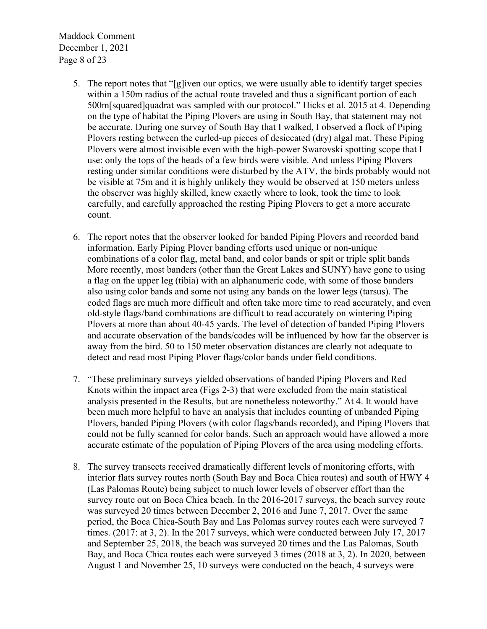Maddock Comment December 1, 2021 Page 8 of 23

- 5. The report notes that "[g]iven our optics, we were usually able to identify target species within a 150m radius of the actual route traveled and thus a significant portion of each 500m[squared]quadrat was sampled with our protocol." Hicks et al. 2015 at 4. Depending on the type of habitat the Piping Plovers are using in South Bay, that statement may not be accurate. During one survey of South Bay that I walked, I observed a flock of Piping Plovers resting between the curled-up pieces of desiccated (dry) algal mat. These Piping Plovers were almost invisible even with the high-power Swarovski spotting scope that I use: only the tops of the heads of a few birds were visible. And unless Piping Plovers resting under similar conditions were disturbed by the ATV, the birds probably would not be visible at 75m and it is highly unlikely they would be observed at 150 meters unless the observer was highly skilled, knew exactly where to look, took the time to look carefully, and carefully approached the resting Piping Plovers to get a more accurate count.
- 6. The report notes that the observer looked for banded Piping Plovers and recorded band information. Early Piping Plover banding efforts used unique or non-unique combinations of a color flag, metal band, and color bands or spit or triple split bands More recently, most banders (other than the Great Lakes and SUNY) have gone to using a flag on the upper leg (tibia) with an alphanumeric code, with some of those banders also using color bands and some not using any bands on the lower legs (tarsus). The coded flags are much more difficult and often take more time to read accurately, and even old-style flags/band combinations are difficult to read accurately on wintering Piping Plovers at more than about 40-45 yards. The level of detection of banded Piping Plovers and accurate observation of the bands/codes will be influenced by how far the observer is away from the bird. 50 to 150 meter observation distances are clearly not adequate to detect and read most Piping Plover flags/color bands under field conditions.
- 7. "These preliminary surveys yielded observations of banded Piping Plovers and Red Knots within the impact area (Figs 2-3) that were excluded from the main statistical analysis presented in the Results, but are nonetheless noteworthy." At 4. It would have been much more helpful to have an analysis that includes counting of unbanded Piping Plovers, banded Piping Plovers (with color flags/bands recorded), and Piping Plovers that could not be fully scanned for color bands. Such an approach would have allowed a more accurate estimate of the population of Piping Plovers of the area using modeling efforts.
- 8. The survey transects received dramatically different levels of monitoring efforts, with interior flats survey routes north (South Bay and Boca Chica routes) and south of HWY 4 (Las Palomas Route) being subject to much lower levels of observer effort than the survey route out on Boca Chica beach. In the 2016-2017 surveys, the beach survey route was surveyed 20 times between December 2, 2016 and June 7, 2017. Over the same period, the Boca Chica-South Bay and Las Polomas survey routes each were surveyed 7 times. (2017: at 3, 2). In the 2017 surveys, which were conducted between July 17, 2017 and September 25, 2018, the beach was surveyed 20 times and the Las Palomas, South Bay, and Boca Chica routes each were surveyed 3 times (2018 at 3, 2). In 2020, between August 1 and November 25, 10 surveys were conducted on the beach, 4 surveys were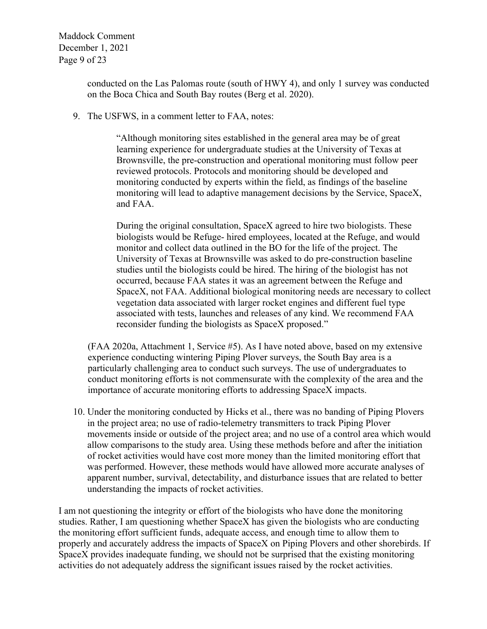Maddock Comment December 1, 2021 Page 9 of 23

> conducted on the Las Palomas route (south of HWY 4), and only 1 survey was conducted on the Boca Chica and South Bay routes (Berg et al. 2020).

9. The USFWS, in a comment letter to FAA, notes:

"Although monitoring sites established in the general area may be of great learning experience for undergraduate studies at the University of Texas at Brownsville, the pre-construction and operational monitoring must follow peer reviewed protocols. Protocols and monitoring should be developed and monitoring conducted by experts within the field, as findings of the baseline monitoring will lead to adaptive management decisions by the Service, SpaceX, and FAA.

During the original consultation, SpaceX agreed to hire two biologists. These biologists would be Refuge- hired employees, located at the Refuge, and would monitor and collect data outlined in the BO for the life of the project. The University of Texas at Brownsville was asked to do pre-construction baseline studies until the biologists could be hired. The hiring of the biologist has not occurred, because FAA states it was an agreement between the Refuge and SpaceX, not FAA. Additional biological monitoring needs are necessary to collect vegetation data associated with larger rocket engines and different fuel type associated with tests, launches and releases of any kind. We recommend FAA reconsider funding the biologists as SpaceX proposed."

(FAA 2020a, Attachment 1, Service #5). As I have noted above, based on my extensive experience conducting wintering Piping Plover surveys, the South Bay area is a particularly challenging area to conduct such surveys. The use of undergraduates to conduct monitoring efforts is not commensurate with the complexity of the area and the importance of accurate monitoring efforts to addressing SpaceX impacts.

10. Under the monitoring conducted by Hicks et al., there was no banding of Piping Plovers in the project area; no use of radio-telemetry transmitters to track Piping Plover movements inside or outside of the project area; and no use of a control area which would allow comparisons to the study area. Using these methods before and after the initiation of rocket activities would have cost more money than the limited monitoring effort that was performed. However, these methods would have allowed more accurate analyses of apparent number, survival, detectability, and disturbance issues that are related to better understanding the impacts of rocket activities.

I am not questioning the integrity or effort of the biologists who have done the monitoring studies. Rather, I am questioning whether SpaceX has given the biologists who are conducting the monitoring effort sufficient funds, adequate access, and enough time to allow them to properly and accurately address the impacts of SpaceX on Piping Plovers and other shorebirds. If SpaceX provides inadequate funding, we should not be surprised that the existing monitoring activities do not adequately address the significant issues raised by the rocket activities.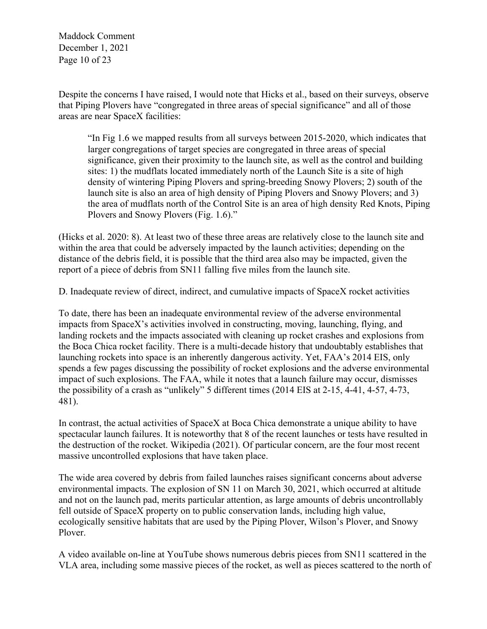Maddock Comment December 1, 2021 Page 10 of 23

Despite the concerns I have raised, I would note that Hicks et al., based on their surveys, observe that Piping Plovers have "congregated in three areas of special significance" and all of those areas are near SpaceX facilities:

"In Fig 1.6 we mapped results from all surveys between 2015-2020, which indicates that larger congregations of target species are congregated in three areas of special significance, given their proximity to the launch site, as well as the control and building sites: 1) the mudflats located immediately north of the Launch Site is a site of high density of wintering Piping Plovers and spring-breeding Snowy Plovers; 2) south of the launch site is also an area of high density of Piping Plovers and Snowy Plovers; and 3) the area of mudflats north of the Control Site is an area of high density Red Knots, Piping Plovers and Snowy Plovers (Fig. 1.6)."

(Hicks et al. 2020: 8). At least two of these three areas are relatively close to the launch site and within the area that could be adversely impacted by the launch activities; depending on the distance of the debris field, it is possible that the third area also may be impacted, given the report of a piece of debris from SN11 falling five miles from the launch site.

D. Inadequate review of direct, indirect, and cumulative impacts of SpaceX rocket activities

To date, there has been an inadequate environmental review of the adverse environmental impacts from SpaceX's activities involved in constructing, moving, launching, flying, and landing rockets and the impacts associated with cleaning up rocket crashes and explosions from the Boca Chica rocket facility. There is a multi-decade history that undoubtably establishes that launching rockets into space is an inherently dangerous activity. Yet, FAA's 2014 EIS, only spends a few pages discussing the possibility of rocket explosions and the adverse environmental impact of such explosions. The FAA, while it notes that a launch failure may occur, dismisses the possibility of a crash as "unlikely" 5 different times (2014 EIS at 2-15, 4-41, 4-57, 4-73, 481).

In contrast, the actual activities of SpaceX at Boca Chica demonstrate a unique ability to have spectacular launch failures. It is noteworthy that 8 of the recent launches or tests have resulted in the destruction of the rocket. Wikipedia (2021). Of particular concern, are the four most recent massive uncontrolled explosions that have taken place.

The wide area covered by debris from failed launches raises significant concerns about adverse environmental impacts. The explosion of SN 11 on March 30, 2021, which occurred at altitude and not on the launch pad, merits particular attention, as large amounts of debris uncontrollably fell outside of SpaceX property on to public conservation lands, including high value, ecologically sensitive habitats that are used by the Piping Plover, Wilson's Plover, and Snowy Plover.

A video available on-line at YouTube shows numerous debris pieces from SN11 scattered in the VLA area, including some massive pieces of the rocket, as well as pieces scattered to the north of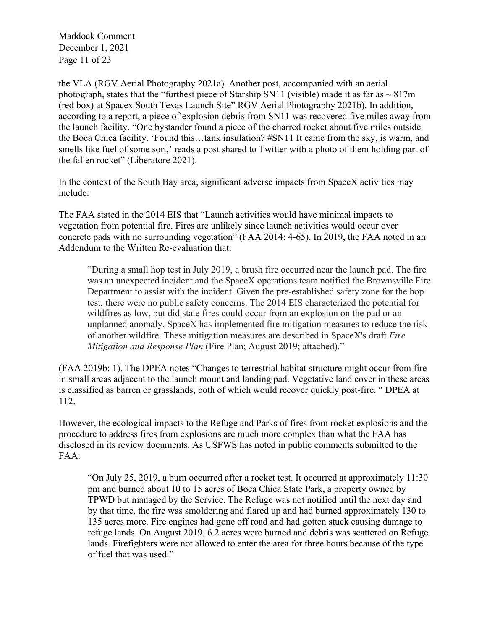Maddock Comment December 1, 2021 Page 11 of 23

the VLA (RGV Aerial Photography 2021a). Another post, accompanied with an aerial photograph, states that the "furthest piece of Starship SN11 (visible) made it as far as  $\sim 817$ m (red box) at Spacex South Texas Launch Site" RGV Aerial Photography 2021b). In addition, according to a report, a piece of explosion debris from SN11 was recovered five miles away from the launch facility. "One bystander found a piece of the charred rocket about five miles outside the Boca Chica facility. 'Found this…tank insulation? #SN11 It came from the sky, is warm, and smells like fuel of some sort,' reads a post shared to Twitter with a photo of them holding part of the fallen rocket" (Liberatore 2021).

In the context of the South Bay area, significant adverse impacts from SpaceX activities may include:

The FAA stated in the 2014 EIS that "Launch activities would have minimal impacts to vegetation from potential fire. Fires are unlikely since launch activities would occur over concrete pads with no surrounding vegetation" (FAA 2014: 4-65). In 2019, the FAA noted in an Addendum to the Written Re-evaluation that:

"During a small hop test in July 2019, a brush fire occurred near the launch pad. The fire was an unexpected incident and the SpaceX operations team notified the Brownsville Fire Department to assist with the incident. Given the pre-established safety zone for the hop test, there were no public safety concerns. The 2014 EIS characterized the potential for wildfires as low, but did state fires could occur from an explosion on the pad or an unplanned anomaly. SpaceX has implemented fire mitigation measures to reduce the risk of another wildfire. These mitigation measures are described in SpaceX's draft *Fire Mitigation and Response Plan* (Fire Plan; August 2019; attached)."

(FAA 2019b: 1). The DPEA notes "Changes to terrestrial habitat structure might occur from fire in small areas adjacent to the launch mount and landing pad. Vegetative land cover in these areas is classified as barren or grasslands, both of which would recover quickly post-fire. " DPEA at 112.

However, the ecological impacts to the Refuge and Parks of fires from rocket explosions and the procedure to address fires from explosions are much more complex than what the FAA has disclosed in its review documents. As USFWS has noted in public comments submitted to the FAA:

"On July 25, 2019, a burn occurred after a rocket test. It occurred at approximately 11:30 pm and burned about 10 to 15 acres of Boca Chica State Park, a property owned by TPWD but managed by the Service. The Refuge was not notified until the next day and by that time, the fire was smoldering and flared up and had burned approximately 130 to 135 acres more. Fire engines had gone off road and had gotten stuck causing damage to refuge lands. On August 2019, 6.2 acres were burned and debris was scattered on Refuge lands. Firefighters were not allowed to enter the area for three hours because of the type of fuel that was used."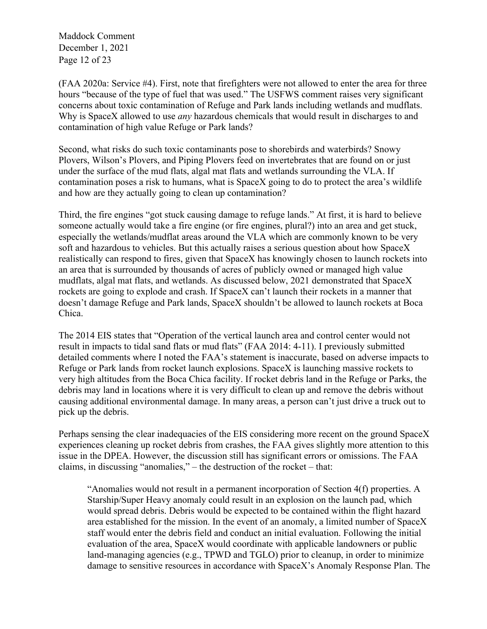Maddock Comment December 1, 2021 Page 12 of 23

(FAA 2020a: Service #4). First, note that firefighters were not allowed to enter the area for three hours "because of the type of fuel that was used." The USFWS comment raises very significant concerns about toxic contamination of Refuge and Park lands including wetlands and mudflats. Why is SpaceX allowed to use *any* hazardous chemicals that would result in discharges to and contamination of high value Refuge or Park lands?

Second, what risks do such toxic contaminants pose to shorebirds and waterbirds? Snowy Plovers, Wilson's Plovers, and Piping Plovers feed on invertebrates that are found on or just under the surface of the mud flats, algal mat flats and wetlands surrounding the VLA. If contamination poses a risk to humans, what is SpaceX going to do to protect the area's wildlife and how are they actually going to clean up contamination?

Third, the fire engines "got stuck causing damage to refuge lands." At first, it is hard to believe someone actually would take a fire engine (or fire engines, plural?) into an area and get stuck, especially the wetlands/mudflat areas around the VLA which are commonly known to be very soft and hazardous to vehicles. But this actually raises a serious question about how SpaceX realistically can respond to fires, given that SpaceX has knowingly chosen to launch rockets into an area that is surrounded by thousands of acres of publicly owned or managed high value mudflats, algal mat flats, and wetlands. As discussed below, 2021 demonstrated that SpaceX rockets are going to explode and crash. If SpaceX can't launch their rockets in a manner that doesn't damage Refuge and Park lands, SpaceX shouldn't be allowed to launch rockets at Boca Chica.

The 2014 EIS states that "Operation of the vertical launch area and control center would not result in impacts to tidal sand flats or mud flats" (FAA 2014: 4-11). I previously submitted detailed comments where I noted the FAA's statement is inaccurate, based on adverse impacts to Refuge or Park lands from rocket launch explosions. SpaceX is launching massive rockets to very high altitudes from the Boca Chica facility. If rocket debris land in the Refuge or Parks, the debris may land in locations where it is very difficult to clean up and remove the debris without causing additional environmental damage. In many areas, a person can't just drive a truck out to pick up the debris.

Perhaps sensing the clear inadequacies of the EIS considering more recent on the ground SpaceX experiences cleaning up rocket debris from crashes, the FAA gives slightly more attention to this issue in the DPEA. However, the discussion still has significant errors or omissions. The FAA claims, in discussing "anomalies," – the destruction of the rocket – that:

"Anomalies would not result in a permanent incorporation of Section 4(f) properties. A Starship/Super Heavy anomaly could result in an explosion on the launch pad, which would spread debris. Debris would be expected to be contained within the flight hazard area established for the mission. In the event of an anomaly, a limited number of SpaceX staff would enter the debris field and conduct an initial evaluation. Following the initial evaluation of the area, SpaceX would coordinate with applicable landowners or public land-managing agencies (e.g., TPWD and TGLO) prior to cleanup, in order to minimize damage to sensitive resources in accordance with SpaceX's Anomaly Response Plan. The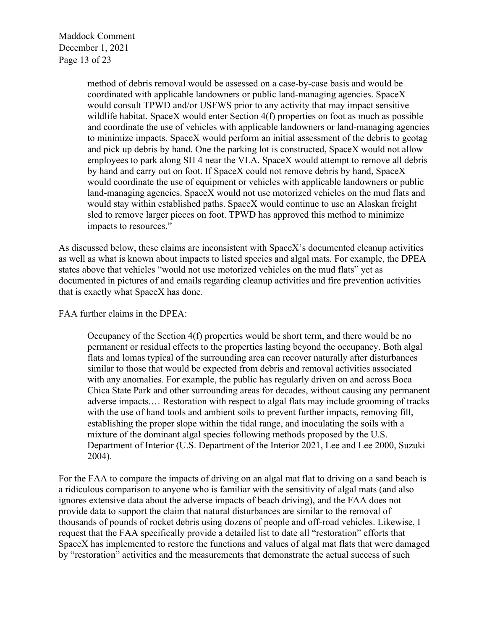Maddock Comment December 1, 2021 Page 13 of 23

> method of debris removal would be assessed on a case-by-case basis and would be coordinated with applicable landowners or public land-managing agencies. SpaceX would consult TPWD and/or USFWS prior to any activity that may impact sensitive wildlife habitat. SpaceX would enter Section 4(f) properties on foot as much as possible and coordinate the use of vehicles with applicable landowners or land-managing agencies to minimize impacts. SpaceX would perform an initial assessment of the debris to geotag and pick up debris by hand. One the parking lot is constructed, SpaceX would not allow employees to park along SH 4 near the VLA. SpaceX would attempt to remove all debris by hand and carry out on foot. If SpaceX could not remove debris by hand, SpaceX would coordinate the use of equipment or vehicles with applicable landowners or public land-managing agencies. SpaceX would not use motorized vehicles on the mud flats and would stay within established paths. SpaceX would continue to use an Alaskan freight sled to remove larger pieces on foot. TPWD has approved this method to minimize impacts to resources."

As discussed below, these claims are inconsistent with SpaceX's documented cleanup activities as well as what is known about impacts to listed species and algal mats. For example, the DPEA states above that vehicles "would not use motorized vehicles on the mud flats" yet as documented in pictures of and emails regarding cleanup activities and fire prevention activities that is exactly what SpaceX has done.

FAA further claims in the DPEA:

Occupancy of the Section 4(f) properties would be short term, and there would be no permanent or residual effects to the properties lasting beyond the occupancy. Both algal flats and lomas typical of the surrounding area can recover naturally after disturbances similar to those that would be expected from debris and removal activities associated with any anomalies. For example, the public has regularly driven on and across Boca Chica State Park and other surrounding areas for decades, without causing any permanent adverse impacts.… Restoration with respect to algal flats may include grooming of tracks with the use of hand tools and ambient soils to prevent further impacts, removing fill, establishing the proper slope within the tidal range, and inoculating the soils with a mixture of the dominant algal species following methods proposed by the U.S. Department of Interior (U.S. Department of the Interior 2021, Lee and Lee 2000, Suzuki 2004).

For the FAA to compare the impacts of driving on an algal mat flat to driving on a sand beach is a ridiculous comparison to anyone who is familiar with the sensitivity of algal mats (and also ignores extensive data about the adverse impacts of beach driving), and the FAA does not provide data to support the claim that natural disturbances are similar to the removal of thousands of pounds of rocket debris using dozens of people and off-road vehicles. Likewise, I request that the FAA specifically provide a detailed list to date all "restoration" efforts that SpaceX has implemented to restore the functions and values of algal mat flats that were damaged by "restoration" activities and the measurements that demonstrate the actual success of such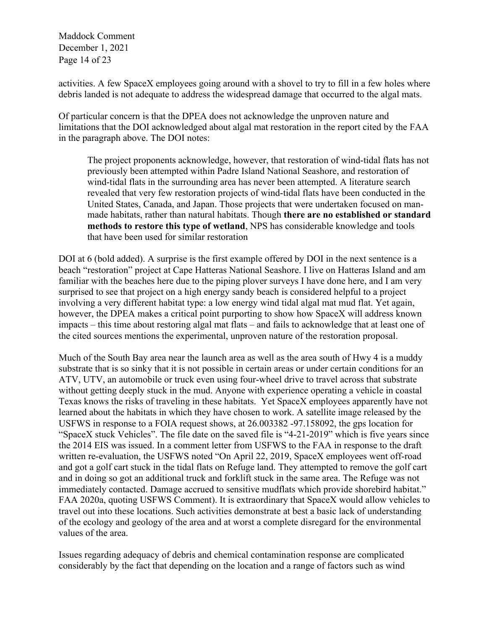Maddock Comment December 1, 2021 Page 14 of 23

activities. A few SpaceX employees going around with a shovel to try to fill in a few holes where debris landed is not adequate to address the widespread damage that occurred to the algal mats.

Of particular concern is that the DPEA does not acknowledge the unproven nature and limitations that the DOI acknowledged about algal mat restoration in the report cited by the FAA in the paragraph above. The DOI notes:

The project proponents acknowledge, however, that restoration of wind-tidal flats has not previously been attempted within Padre Island National Seashore, and restoration of wind-tidal flats in the surrounding area has never been attempted. A literature search revealed that very few restoration projects of wind-tidal flats have been conducted in the United States, Canada, and Japan. Those projects that were undertaken focused on manmade habitats, rather than natural habitats. Though **there are no established or standard methods to restore this type of wetland**, NPS has considerable knowledge and tools that have been used for similar restoration

DOI at 6 (bold added). A surprise is the first example offered by DOI in the next sentence is a beach "restoration" project at Cape Hatteras National Seashore. I live on Hatteras Island and am familiar with the beaches here due to the piping plover surveys I have done here, and I am very surprised to see that project on a high energy sandy beach is considered helpful to a project involving a very different habitat type: a low energy wind tidal algal mat mud flat. Yet again, however, the DPEA makes a critical point purporting to show how SpaceX will address known impacts – this time about restoring algal mat flats – and fails to acknowledge that at least one of the cited sources mentions the experimental, unproven nature of the restoration proposal.

Much of the South Bay area near the launch area as well as the area south of Hwy 4 is a muddy substrate that is so sinky that it is not possible in certain areas or under certain conditions for an ATV, UTV, an automobile or truck even using four-wheel drive to travel across that substrate without getting deeply stuck in the mud. Anyone with experience operating a vehicle in coastal Texas knows the risks of traveling in these habitats. Yet SpaceX employees apparently have not learned about the habitats in which they have chosen to work. A satellite image released by the USFWS in response to a FOIA request shows, at 26.003382 -97.158092, the gps location for "SpaceX stuck Vehicles". The file date on the saved file is "4-21-2019" which is five years since the 2014 EIS was issued. In a comment letter from USFWS to the FAA in response to the draft written re-evaluation, the USFWS noted "On April 22, 2019, SpaceX employees went off-road and got a golf cart stuck in the tidal flats on Refuge land. They attempted to remove the golf cart and in doing so got an additional truck and forklift stuck in the same area. The Refuge was not immediately contacted. Damage accrued to sensitive mudflats which provide shorebird habitat." FAA 2020a, quoting USFWS Comment). It is extraordinary that SpaceX would allow vehicles to travel out into these locations. Such activities demonstrate at best a basic lack of understanding of the ecology and geology of the area and at worst a complete disregard for the environmental values of the area.

Issues regarding adequacy of debris and chemical contamination response are complicated considerably by the fact that depending on the location and a range of factors such as wind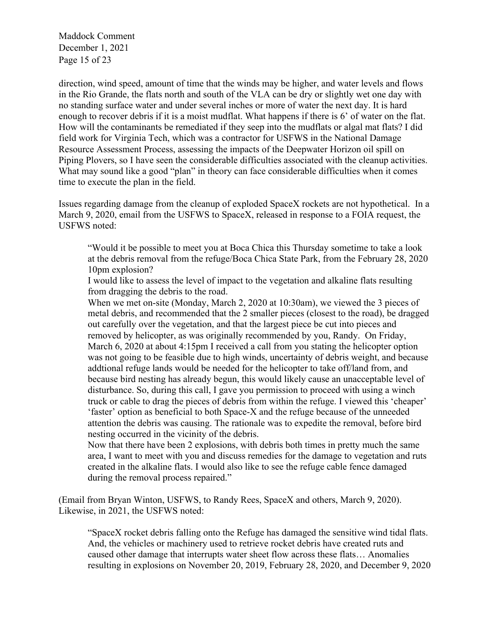Maddock Comment December 1, 2021 Page 15 of 23

direction, wind speed, amount of time that the winds may be higher, and water levels and flows in the Rio Grande, the flats north and south of the VLA can be dry or slightly wet one day with no standing surface water and under several inches or more of water the next day. It is hard enough to recover debris if it is a moist mudflat. What happens if there is 6' of water on the flat. How will the contaminants be remediated if they seep into the mudflats or algal mat flats? I did field work for Virginia Tech, which was a contractor for USFWS in the National Damage Resource Assessment Process, assessing the impacts of the Deepwater Horizon oil spill on Piping Plovers, so I have seen the considerable difficulties associated with the cleanup activities. What may sound like a good "plan" in theory can face considerable difficulties when it comes time to execute the plan in the field.

Issues regarding damage from the cleanup of exploded SpaceX rockets are not hypothetical. In a March 9, 2020, email from the USFWS to SpaceX, released in response to a FOIA request, the USFWS noted:

"Would it be possible to meet you at Boca Chica this Thursday sometime to take a look at the debris removal from the refuge/Boca Chica State Park, from the February 28, 2020 10pm explosion?

I would like to assess the level of impact to the vegetation and alkaline flats resulting from dragging the debris to the road.

When we met on-site (Monday, March 2, 2020 at 10:30am), we viewed the 3 pieces of metal debris, and recommended that the 2 smaller pieces (closest to the road), be dragged out carefully over the vegetation, and that the largest piece be cut into pieces and removed by helicopter, as was originally recommended by you, Randy. On Friday, March 6, 2020 at about 4:15pm I received a call from you stating the helicopter option was not going to be feasible due to high winds, uncertainty of debris weight, and because addtional refuge lands would be needed for the helicopter to take off/land from, and because bird nesting has already begun, this would likely cause an unacceptable level of disturbance. So, during this call, I gave you permission to proceed with using a winch truck or cable to drag the pieces of debris from within the refuge. I viewed this 'cheaper' 'faster' option as beneficial to both Space-X and the refuge because of the unneeded attention the debris was causing. The rationale was to expedite the removal, before bird nesting occurred in the vicinity of the debris.

Now that there have been 2 explosions, with debris both times in pretty much the same area, I want to meet with you and discuss remedies for the damage to vegetation and ruts created in the alkaline flats. I would also like to see the refuge cable fence damaged during the removal process repaired."

(Email from Bryan Winton, USFWS, to Randy Rees, SpaceX and others, March 9, 2020). Likewise, in 2021, the USFWS noted:

"SpaceX rocket debris falling onto the Refuge has damaged the sensitive wind tidal flats. And, the vehicles or machinery used to retrieve rocket debris have created ruts and caused other damage that interrupts water sheet flow across these flats… Anomalies resulting in explosions on November 20, 2019, February 28, 2020, and December 9, 2020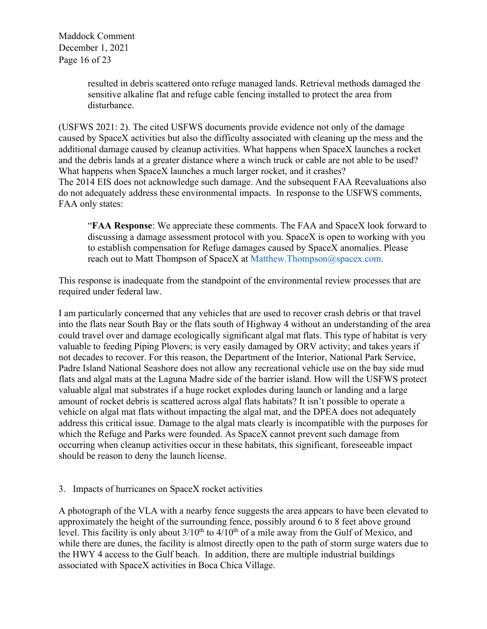Maddock Comment December 1, 2021 Page 16 of 23

> resulted in debris scattered onto refuge managed lands. Retrieval methods damaged the sensitive alkaline flat and refuge cable fencing installed to protect the area from disturbance.

(USFWS 2021: 2). The cited USFWS documents provide evidence not only of the damage caused by SpaceX activities but also the difficulty associated with cleaning up the mess and the additional damage caused by cleanup activities. What happens when SpaceX launches a rocket and the debris lands at a greater distance where a winch truck or cable are not able to be used? What happens when SpaceX launches a much larger rocket, and it crashes? The 2014 EIS does not acknowledge such damage. And the subsequent FAA Reevaluations also do not adequately address these environmental impacts. In response to the USFWS comments, FAA only states:

"**FAA Response**: We appreciate these comments. The FAA and SpaceX look forward to discussing a damage assessment protocol with you. SpaceX is open to working with you to establish compensation for Refuge damages caused by SpaceX anomalies. Please reach out to Matt Thompson of SpaceX at Matthew.Thompson@spacex.com.

This response is inadequate from the standpoint of the environmental review processes that are required under federal law.

I am particularly concerned that any vehicles that are used to recover crash debris or that travel into the flats near South Bay or the flats south of Highway 4 without an understanding of the area could travel over and damage ecologically significant algal mat flats. This type of habitat is very valuable to feeding Piping Plovers; is very easily damaged by ORV activity; and takes years if not decades to recover. For this reason, the Department of the Interior, National Park Service, Padre Island National Seashore does not allow any recreational vehicle use on the bay side mud flats and algal mats at the Laguna Madre side of the barrier island. How will the USFWS protect valuable algal mat substrates if a huge rocket explodes during launch or landing and a large amount of rocket debris is scattered across algal flats habitats? It isn't possible to operate a vehicle on algal mat flats without impacting the algal mat, and the DPEA does not adequately address this critical issue. Damage to the algal mats clearly is incompatible with the purposes for which the Refuge and Parks were founded. As SpaceX cannot prevent such damage from occurring when cleanup activities occur in these habitats, this significant, foreseeable impact should be reason to deny the launch license.

## 3. Impacts of hurricanes on SpaceX rocket activities

A photograph of the VLA with a nearby fence suggests the area appears to have been elevated to approximately the height of the surrounding fence, possibly around 6 to 8 feet above ground level. This facility is only about  $3/10^{th}$  to  $4/10^{th}$  of a mile away from the Gulf of Mexico, and while there are dunes, the facility is almost directly open to the path of storm surge waters due to the HWY 4 access to the Gulf beach. In addition, there are multiple industrial buildings associated with SpaceX activities in Boca Chica Village.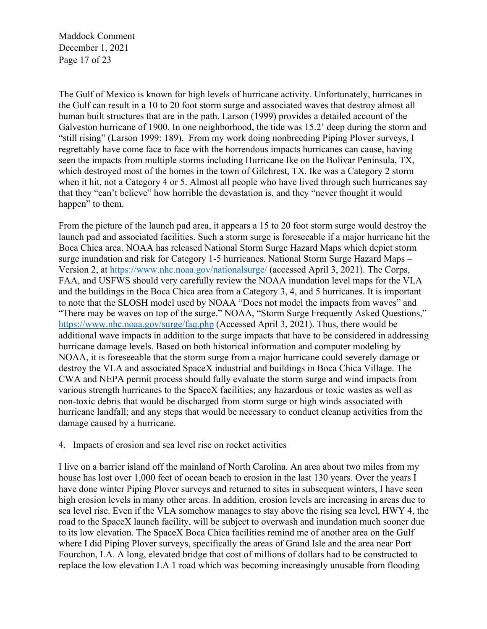Maddock Comment December 1, 2021 Page 17 of 23

The Gulf of Mexico is known for high levels of hurricane activity. Unfortunately, hurricanes in the Gulf can result in a 10 to 20 foot storm surge and associated waves that destroy almost all human built structures that are in the path. Larson (1999) provides a detailed account of the Galveston hurricane of 1900. In one neighborhood, the tide was 15.2' deep during the storm and "still rising" (Larson 1999: 189). From my work doing nonbreeding Piping Plover surveys, I regrettably have come face to face with the horrendous impacts hurricanes can cause, having seen the impacts from multiple storms including Hurricane Ike on the Bolivar Peninsula, TX, which destroyed most of the homes in the town of Gilchrest, TX. Ike was a Category 2 storm when it hit, not a Category 4 or 5. Almost all people who have lived through such hurricanes say that they "can't believe" how horrible the devastation is, and they "never thought it would happen" to them.

From the picture of the launch pad area, it appears a 15 to 20 foot storm surge would destroy the launch pad and associated facilities. Such a storm surge is foreseeable if a major hurricane hit the Boca Chica area. NOAA has released National Storm Surge Hazard Maps which depict storm surge inundation and risk for Category 1-5 hurricanes. National Storm Surge Hazard Maps – Version 2, at https://www.nhc.noaa.gov/nationalsurge/ (accessed April 3, 2021). The Corps, FAA, and USFWS should very carefully review the NOAA inundation level maps for the VLA and the buildings in the Boca Chica area from a Category 3, 4, and 5 hurricanes. It is important to note that the SLOSH model used by NOAA "Does not model the impacts from waves" and "There may be waves on top of the surge." NOAA, "Storm Surge Frequently Asked Questions," https://www.nhc.noaa.gov/surge/faq.php (Accessed April 3, 2021). Thus, there would be additional wave impacts in addition to the surge impacts that have to be considered in addressing hurricane damage levels. Based on both historical information and computer modeling by NOAA, it is foreseeable that the storm surge from a major hurricane could severely damage or destroy the VLA and associated SpaceX industrial and buildings in Boca Chica Village. The CWA and NEPA permit process should fully evaluate the storm surge and wind impacts from various strength hurricanes to the SpaceX facilities; any hazardous or toxic wastes as well as non-toxic debris that would be discharged from storm surge or high winds associated with hurricane landfall; and any steps that would be necessary to conduct cleanup activities from the damage caused by a hurricane.

## 4. Impacts of erosion and sea level rise on rocket activities

I live on a barrier island off the mainland of North Carolina. An area about two miles from my house has lost over 1,000 feet of ocean beach to erosion in the last 130 years. Over the years I have done winter Piping Plover surveys and returned to sites in subsequent winters, I have seen high erosion levels in many other areas. In addition, erosion levels are increasing in areas due to sea level rise. Even if the VLA somehow manages to stay above the rising sea level, HWY 4, the road to the SpaceX launch facility, will be subject to overwash and inundation much sooner due to its low elevation. The SpaceX Boca Chica facilities remind me of another area on the Gulf where I did Piping Plover surveys, specifically the areas of Grand Isle and the area near Port Fourchon, LA. A long, elevated bridge that cost of millions of dollars had to be constructed to replace the low elevation LA 1 road which was becoming increasingly unusable from flooding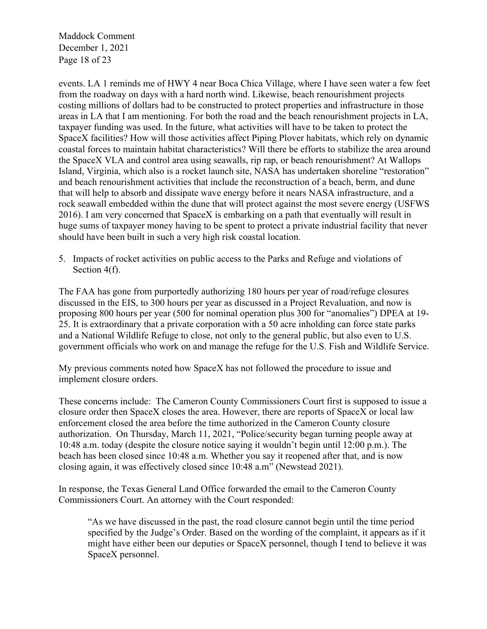Maddock Comment December 1, 2021 Page 18 of 23

events. LA 1 reminds me of HWY 4 near Boca Chica Village, where I have seen water a few feet from the roadway on days with a hard north wind. Likewise, beach renourishment projects costing millions of dollars had to be constructed to protect properties and infrastructure in those areas in LA that I am mentioning. For both the road and the beach renourishment projects in LA, taxpayer funding was used. In the future, what activities will have to be taken to protect the SpaceX facilities? How will those activities affect Piping Plover habitats, which rely on dynamic coastal forces to maintain habitat characteristics? Will there be efforts to stabilize the area around the SpaceX VLA and control area using seawalls, rip rap, or beach renourishment? At Wallops Island, Virginia, which also is a rocket launch site, NASA has undertaken shoreline "restoration" and beach renourishment activities that include the reconstruction of a beach, berm, and dune that will help to absorb and dissipate wave energy before it nears NASA infrastructure, and a rock seawall embedded within the dune that will protect against the most severe energy (USFWS 2016). I am very concerned that SpaceX is embarking on a path that eventually will result in huge sums of taxpayer money having to be spent to protect a private industrial facility that never should have been built in such a very high risk coastal location.

5. Impacts of rocket activities on public access to the Parks and Refuge and violations of Section 4(f).

The FAA has gone from purportedly authorizing 180 hours per year of road/refuge closures discussed in the EIS, to 300 hours per year as discussed in a Project Revaluation, and now is proposing 800 hours per year (500 for nominal operation plus 300 for "anomalies") DPEA at 19- 25. It is extraordinary that a private corporation with a 50 acre inholding can force state parks and a National Wildlife Refuge to close, not only to the general public, but also even to U.S. government officials who work on and manage the refuge for the U.S. Fish and Wildlife Service.

My previous comments noted how SpaceX has not followed the procedure to issue and implement closure orders.

These concerns include: The Cameron County Commissioners Court first is supposed to issue a closure order then SpaceX closes the area. However, there are reports of SpaceX or local law enforcement closed the area before the time authorized in the Cameron County closure authorization. On Thursday, March 11, 2021, "Police/security began turning people away at 10:48 a.m. today (despite the closure notice saying it wouldn't begin until 12:00 p.m.). The beach has been closed since 10:48 a.m. Whether you say it reopened after that, and is now closing again, it was effectively closed since 10:48 a.m" (Newstead 2021).

In response, the Texas General Land Office forwarded the email to the Cameron County Commissioners Court. An attorney with the Court responded:

"As we have discussed in the past, the road closure cannot begin until the time period specified by the Judge's Order. Based on the wording of the complaint, it appears as if it might have either been our deputies or SpaceX personnel, though I tend to believe it was SpaceX personnel.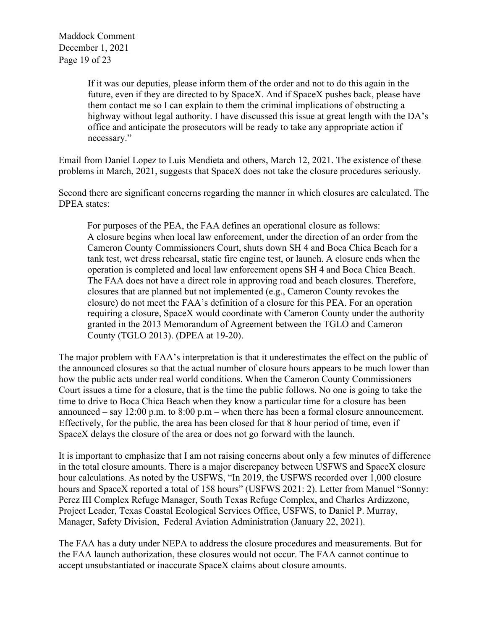Maddock Comment December 1, 2021 Page 19 of 23

> If it was our deputies, please inform them of the order and not to do this again in the future, even if they are directed to by SpaceX. And if SpaceX pushes back, please have them contact me so I can explain to them the criminal implications of obstructing a highway without legal authority. I have discussed this issue at great length with the DA's office and anticipate the prosecutors will be ready to take any appropriate action if necessary."

Email from Daniel Lopez to Luis Mendieta and others, March 12, 2021. The existence of these problems in March, 2021, suggests that SpaceX does not take the closure procedures seriously.

Second there are significant concerns regarding the manner in which closures are calculated. The DPEA states:

For purposes of the PEA, the FAA defines an operational closure as follows: A closure begins when local law enforcement, under the direction of an order from the Cameron County Commissioners Court, shuts down SH 4 and Boca Chica Beach for a tank test, wet dress rehearsal, static fire engine test, or launch. A closure ends when the operation is completed and local law enforcement opens SH 4 and Boca Chica Beach. The FAA does not have a direct role in approving road and beach closures. Therefore, closures that are planned but not implemented (e.g., Cameron County revokes the closure) do not meet the FAA's definition of a closure for this PEA. For an operation requiring a closure, SpaceX would coordinate with Cameron County under the authority granted in the 2013 Memorandum of Agreement between the TGLO and Cameron County (TGLO 2013). (DPEA at 19-20).

The major problem with FAA's interpretation is that it underestimates the effect on the public of the announced closures so that the actual number of closure hours appears to be much lower than how the public acts under real world conditions. When the Cameron County Commissioners Court issues a time for a closure, that is the time the public follows. No one is going to take the time to drive to Boca Chica Beach when they know a particular time for a closure has been announced – say  $12:00$  p.m. to  $8:00$  p.m – when there has been a formal closure announcement. Effectively, for the public, the area has been closed for that 8 hour period of time, even if SpaceX delays the closure of the area or does not go forward with the launch.

It is important to emphasize that I am not raising concerns about only a few minutes of difference in the total closure amounts. There is a major discrepancy between USFWS and SpaceX closure hour calculations. As noted by the USFWS, "In 2019, the USFWS recorded over 1,000 closure hours and SpaceX reported a total of 158 hours" (USFWS 2021: 2). Letter from Manuel "Sonny: Perez III Complex Refuge Manager, South Texas Refuge Complex, and Charles Ardizzone, Project Leader, Texas Coastal Ecological Services Office, USFWS, to Daniel P. Murray, Manager, Safety Division, Federal Aviation Administration (January 22, 2021).

The FAA has a duty under NEPA to address the closure procedures and measurements. But for the FAA launch authorization, these closures would not occur. The FAA cannot continue to accept unsubstantiated or inaccurate SpaceX claims about closure amounts.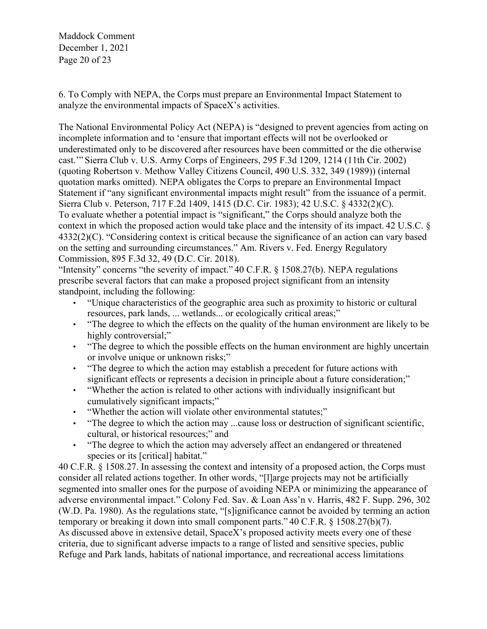Maddock Comment December 1, 2021 Page 20 of 23

6. To Comply with NEPA, the Corps must prepare an Environmental Impact Statement to analyze the environmental impacts of SpaceX's activities.

The National Environmental Policy Act (NEPA) is "designed to prevent agencies from acting on incomplete information and to 'ensure that important effects will not be overlooked or underestimated only to be discovered after resources have been committed or the die otherwise cast.'" Sierra Club v. U.S. Army Corps of Engineers, 295 F.3d 1209, 1214 (11th Cir. 2002) (quoting Robertson v. Methow Valley Citizens Council, 490 U.S. 332, 349 (1989)) (internal quotation marks omitted). NEPA obligates the Corps to prepare an Environmental Impact Statement if "any significant environmental impacts might result" from the issuance of a permit. Sierra Club v. Peterson, 717 F.2d 1409, 1415 (D.C. Cir. 1983); 42 U.S.C. § 4332(2)(C). To evaluate whether a potential impact is "significant," the Corps should analyze both the context in which the proposed action would take place and the intensity of its impact. 42 U.S.C. § 4332(2)(C). "Considering context is critical because the significance of an action can vary based on the setting and surrounding circumstances." Am. Rivers v. Fed. Energy Regulatory Commission, 895 F.3d 32, 49 (D.C. Cir. 2018).

"Intensity" concerns "the severity of impact." 40 C.F.R. § 1508.27(b). NEPA regulations prescribe several factors that can make a proposed project significant from an intensity standpoint, including the following:

- "Unique characteristics of the geographic area such as proximity to historic or cultural resources, park lands, ... wetlands... or ecologically critical areas;"
- "The degree to which the effects on the quality of the human environment are likely to be highly controversial;"
- "The degree to which the possible effects on the human environment are highly uncertain or involve unique or unknown risks;"
- "The degree to which the action may establish a precedent for future actions with significant effects or represents a decision in principle about a future consideration;"
- "Whether the action is related to other actions with individually insignificant but cumulatively significant impacts;"
- "Whether the action will violate other environmental statutes;"
- "The degree to which the action may ...cause loss or destruction of significant scientific, cultural, or historical resources;" and
- "The degree to which the action may adversely affect an endangered or threatened species or its [critical] habitat."

40 C.F.R. § 1508.27. In assessing the context and intensity of a proposed action, the Corps must consider all related actions together. In other words, "[l]arge projects may not be artificially segmented into smaller ones for the purpose of avoiding NEPA or minimizing the appearance of adverse environmental impact." Colony Fed. Sav. & Loan Ass'n v. Harris, 482 F. Supp. 296, 302 (W.D. Pa. 1980). As the regulations state, "[s]ignificance cannot be avoided by terming an action temporary or breaking it down into small component parts." 40 C.F.R. § 1508.27(b)(7). As discussed above in extensive detail, SpaceX's proposed activity meets every one of these criteria, due to significant adverse impacts to a range of listed and sensitive species, public Refuge and Park lands, habitats of national importance, and recreational access limitations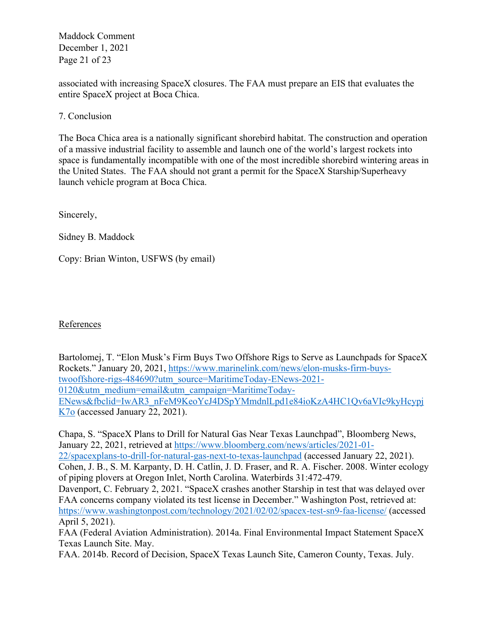Maddock Comment December 1, 2021 Page 21 of 23

associated with increasing SpaceX closures. The FAA must prepare an EIS that evaluates the entire SpaceX project at Boca Chica.

7. Conclusion

The Boca Chica area is a nationally significant shorebird habitat. The construction and operation of a massive industrial facility to assemble and launch one of the world's largest rockets into space is fundamentally incompatible with one of the most incredible shorebird wintering areas in the United States. The FAA should not grant a permit for the SpaceX Starship/Superheavy launch vehicle program at Boca Chica.

Sincerely,

Sidney B. Maddock

Copy: Brian Winton, USFWS (by email)

References

Bartolomej, T. "Elon Musk's Firm Buys Two Offshore Rigs to Serve as Launchpads for SpaceX Rockets." January 20, 2021, https://www.marinelink.com/news/elon-musks-firm-buystwooffshore-rigs-484690?utm\_source=MaritimeToday-ENews-2021- 0120&utm\_medium=email&utm\_campaign=MaritimeToday-ENews&fbclid=IwAR3\_nFeM9KeoYcJ4DSpYMmdnlLpd1e84ioKzA4HC1Qv6aVIc9kyHcypj K7o (accessed January 22, 2021).

Chapa, S. "SpaceX Plans to Drill for Natural Gas Near Texas Launchpad", Bloomberg News, January 22, 2021, retrieved at https://www.bloomberg.com/news/articles/2021-01-22/spacexplans-to-drill-for-natural-gas-next-to-texas-launchpad (accessed January 22, 2021). Cohen, J. B., S. M. Karpanty, D. H. Catlin, J. D. Fraser, and R. A. Fischer. 2008. Winter ecology of piping plovers at Oregon Inlet, North Carolina. Waterbirds 31:472-479. Davenport, C. February 2, 2021. "SpaceX crashes another Starship in test that was delayed over FAA concerns company violated its test license in December." Washington Post, retrieved at:

https://www.washingtonpost.com/technology/2021/02/02/spacex-test-sn9-faa-license/ (accessed April 5, 2021).

FAA (Federal Aviation Administration). 2014a. Final Environmental Impact Statement SpaceX Texas Launch Site. May.

FAA. 2014b. Record of Decision, SpaceX Texas Launch Site, Cameron County, Texas. July.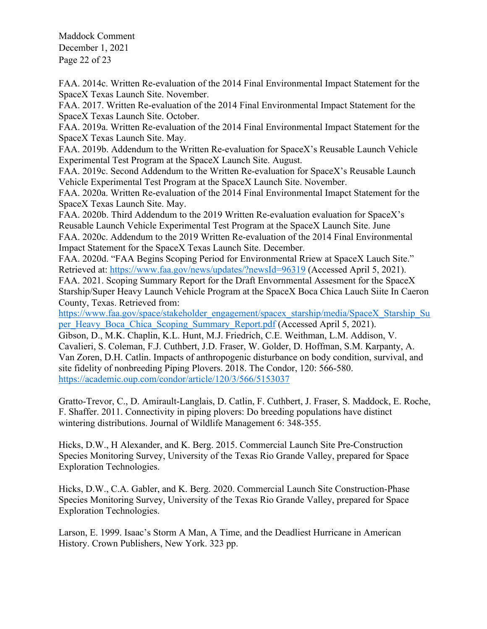Maddock Comment December 1, 2021 Page 22 of 23

FAA. 2014c. Written Re-evaluation of the 2014 Final Environmental Impact Statement for the SpaceX Texas Launch Site. November.

FAA. 2017. Written Re-evaluation of the 2014 Final Environmental Impact Statement for the SpaceX Texas Launch Site. October.

FAA. 2019a. Written Re-evaluation of the 2014 Final Environmental Impact Statement for the SpaceX Texas Launch Site. May.

FAA. 2019b. Addendum to the Written Re-evaluation for SpaceX's Reusable Launch Vehicle Experimental Test Program at the SpaceX Launch Site. August.

FAA. 2019c. Second Addendum to the Written Re-evaluation for SpaceX's Reusable Launch Vehicle Experimental Test Program at the SpaceX Launch Site. November.

FAA. 2020a. Written Re-evaluation of the 2014 Final Environmental Imapct Statement for the SpaceX Texas Launch Site. May.

FAA. 2020b. Third Addendum to the 2019 Written Re-evaluation evaluation for SpaceX's Reusable Launch Vehicle Experimental Test Program at the SpaceX Launch Site. June FAA. 2020c. Addendum to the 2019 Written Re-evaluation of the 2014 Final Environmental Impact Statement for the SpaceX Texas Launch Site. December.

FAA. 2020d. "FAA Begins Scoping Period for Environmental Rriew at SpaceX Lauch Site." Retrieved at: https://www.faa.gov/news/updates/?newsId=96319 (Accessed April 5, 2021).

FAA. 2021. Scoping Summary Report for the Draft Envornmental Assesment for the SpaceX Starship/Super Heavy Launch Vehicle Program at the SpaceX Boca Chica Lauch Siite In Caeron County, Texas. Retrieved from:

https://www.faa.gov/space/stakeholder\_engagement/spacex\_starship/media/SpaceX\_Starship\_Su per Heavy Boca Chica Scoping Summary Report.pdf (Accessed April 5, 2021).

Gibson, D., M.K. Chaplin, K.L. Hunt, M.J. Friedrich, C.E. Weithman, L.M. Addison, V. Cavalieri, S. Coleman, F.J. Cuthbert, J.D. Fraser, W. Golder, D. Hoffman, S.M. Karpanty, A. Van Zoren, D.H. Catlin. Impacts of anthropogenic disturbance on body condition, survival, and site fidelity of nonbreeding Piping Plovers. 2018. The Condor, 120: 566-580. https://academic.oup.com/condor/article/120/3/566/5153037

Gratto-Trevor, C., D. Amirault-Langlais, D. Catlin, F. Cuthbert, J. Fraser, S. Maddock, E. Roche, F. Shaffer. 2011. Connectivity in piping plovers: Do breeding populations have distinct wintering distributions. Journal of Wildlife Management 6: 348-355.

Hicks, D.W., H Alexander, and K. Berg. 2015. Commercial Launch Site Pre-Construction Species Monitoring Survey, University of the Texas Rio Grande Valley, prepared for Space Exploration Technologies.

Hicks, D.W., C.A. Gabler, and K. Berg. 2020. Commercial Launch Site Construction-Phase Species Monitoring Survey, University of the Texas Rio Grande Valley, prepared for Space Exploration Technologies.

Larson, E. 1999. Isaac's Storm A Man, A Time, and the Deadliest Hurricane in American History. Crown Publishers, New York. 323 pp.